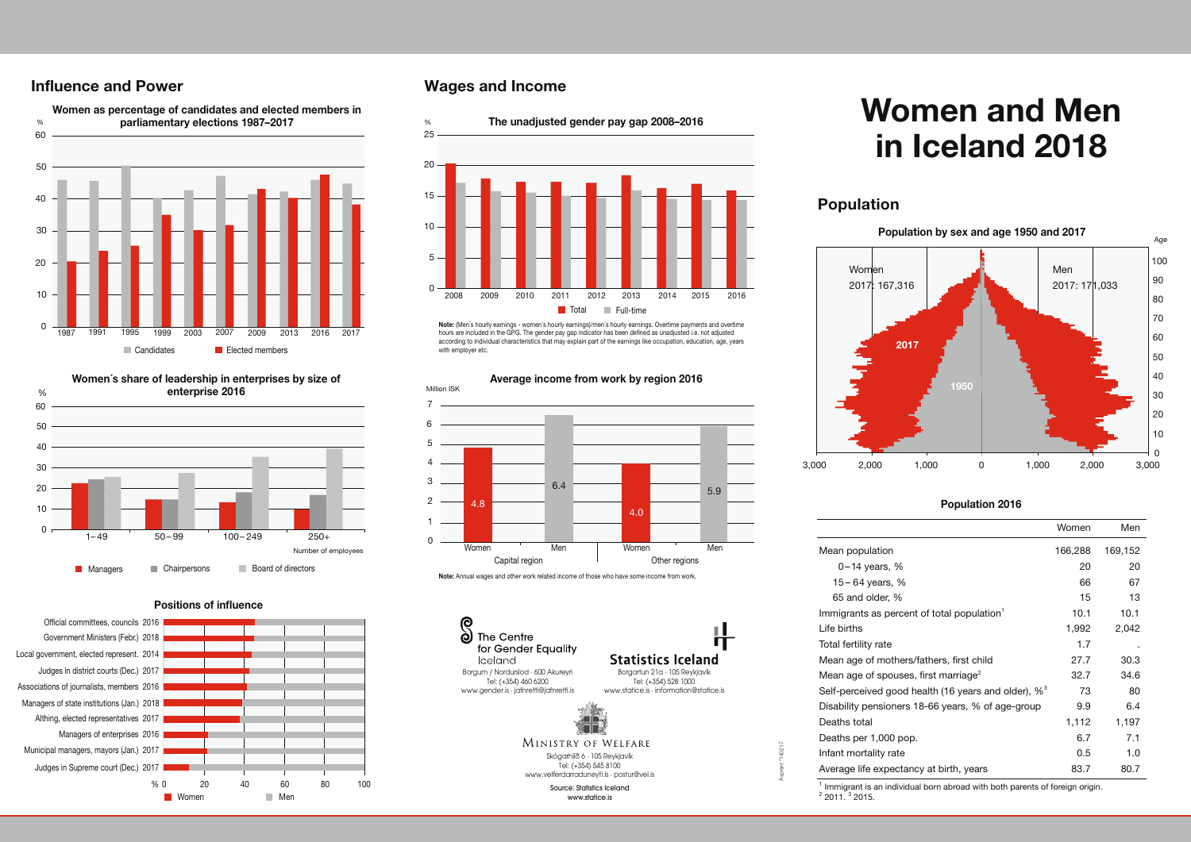# **Influence and Power**





#### Positions of influence



# **Wages and Income**



Note: (Men´s hourly earnings - women´s hourly earnings)/men´s hourly earnings. Overtime payments and overtime hours are included in the GPG. The gender pay gap indicator has been defined as unadjusted i.e. not adjusted according to individual characteristics that may explain part of the earnings like occupation, education, age, years with employer etc.



#### Note: Annual wages and other work related income of those who have some income from work.



Skógarhlíð 6 · 105 Reykjavík Tel: (+354) 545 8100 www.velferdarraduneyti.is · postur@vel.is

> Source: Statistics Iceland www.statice.is

# **Women and Men in Iceland 2018**

# **Population**



#### Population 2016

|                                                                 | Women   | Men     |
|-----------------------------------------------------------------|---------|---------|
| Mean population                                                 | 166,288 | 169,152 |
| $0-14$ years, %                                                 | 20      | 20      |
| 15 – 64 years, %                                                | 66      | 67      |
| 65 and older, %                                                 | 15      | 13      |
| Immigrants as percent of total population <sup>1</sup>          | 10.1    | 10.1    |
| Life births                                                     | 1,992   | 2,042   |
| Total fertility rate                                            | 1.7     |         |
| Mean age of mothers/fathers, first child                        | 27.7    | 30.3    |
| Mean age of spouses, first marriage <sup>2</sup>                | 32.7    | 34.6    |
| Self-perceived good health (16 years and older), % <sup>3</sup> | 73      | 80      |
| Disability pensioners 18-66 years, % of age-group               | 9.9     | 6.4     |
| Deaths total                                                    | 1,112   | 1,197   |
| Deaths per 1,000 pop.                                           | 6.7     | 7.1     |
| Infant mortality rate                                           | 0.5     | 1.0     |
| Average life expectancy at birth, years                         | 83.7    | 80.7    |

 $<sup>1</sup>$  Immigrant is an individual born abroad with both parents of foreign origin.</sup>  $2$  2011.  $3$  2015.

Ásprent \*140217

П

# Average income from work by region 2016